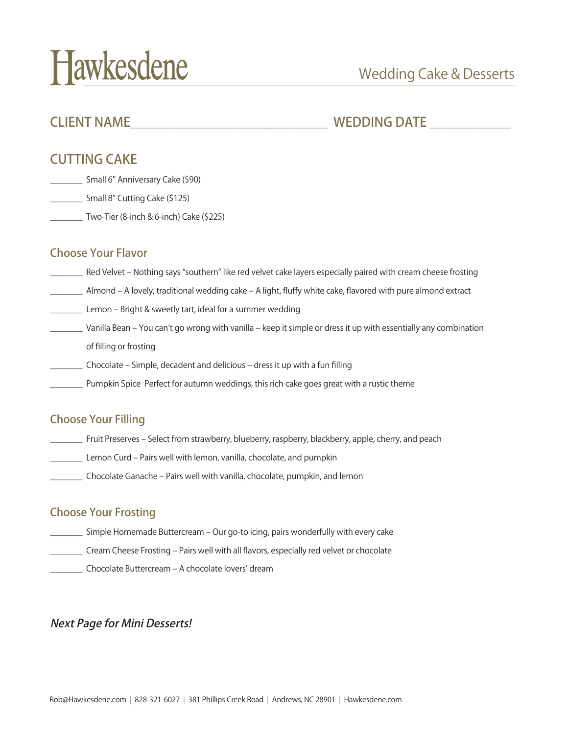# Hawkesdene

# CLIENT NAME THE MUSIC OF THE MEDDING DATE WEDDING OF THE MUSIC OF THE MEDDING OF THE MEDDING OF THE MEDDING OF THE MEDDING OF THE MEDDING OF THE MEDDING OF THE MEDDING OF THE MEDDING OF THE MEDDING OF THE MEDDING OF THE ME

# CUTTING CAKE

- \_\_\_\_\_\_\_ Small 6" Anniversary Cake (\$90)
- \_\_\_\_\_\_\_ Small 8" Cutting Cake (\$125)
- \_\_\_\_\_\_\_ Two-Tier (8-inch & 6-inch) Cake (\$225)

#### Choose Your Flavor

- \_\_\_\_\_\_\_ Red Velvet Nothing says "southern" like red velvet cake layers especially paired with cream cheese frosting
- \_\_\_\_\_\_\_ Almond A lovely, traditional wedding cake A light, fluffy white cake, flavored with pure almond extract
- \_\_\_\_\_\_\_ Lemon Bright & sweetly tart, ideal for a summer wedding
- \_\_\_\_\_\_\_ Vanilla Bean You can't go wrong with vanilla keep it simple or dress it up with essentially any combination of filling or frosting
- \_\_\_\_\_\_\_ Chocolate Simple, decadent and delicious dress it up with a fun filling
- Pumpkin Spice Perfect for autumn weddings, this rich cake goes great with a rustic theme

### Choose Your Filling

- \_\_\_\_\_\_\_ Fruit Preserves Select from strawberry, blueberry, raspberry, blackberry, apple, cherry, and peach
- Lemon Curd Pairs well with lemon, vanilla, chocolate, and pumpkin
- \_\_\_\_\_\_\_ Chocolate Ganache Pairs well with vanilla, chocolate, pumpkin, and lemon

#### Choose Your Frosting

- \_\_\_\_\_\_\_ Simple Homemade Buttercream Our go-to icing, pairs wonderfully with every cake
- \_\_\_\_\_\_\_ Cream Cheese Frosting Pairs well with all flavors, especially red velvet or chocolate
- \_\_\_\_\_\_\_ Chocolate Buttercream A chocolate lovers' dream

#### Next Page for Mini Desserts!